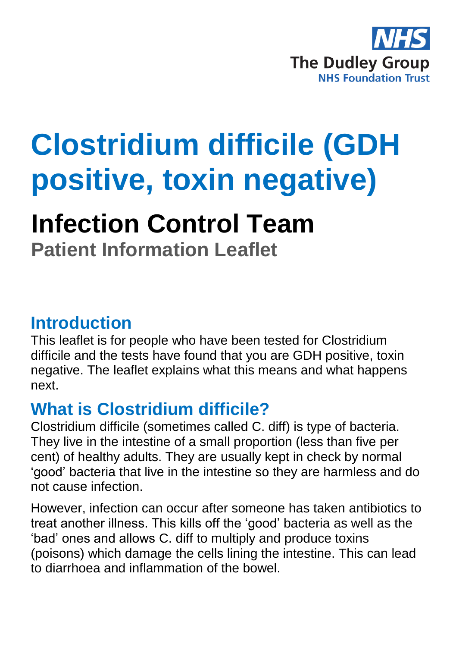

# **Clostridium difficile (GDH positive, toxin negative)**

# **Infection Control Team**

**Patient Information Leaflet**

#### **Introduction**

This leaflet is for people who have been tested for Clostridium difficile and the tests have found that you are GDH positive, toxin negative. The leaflet explains what this means and what happens next.

## **What is Clostridium difficile?**

Clostridium difficile (sometimes called C. diff) is type of bacteria. They live in the intestine of a small proportion (less than five per cent) of healthy adults. They are usually kept in check by normal 'good' bacteria that live in the intestine so they are harmless and do not cause infection.

However, infection can occur after someone has taken antibiotics to treat another illness. This kills off the 'good' bacteria as well as the 'bad' ones and allows C. diff to multiply and produce toxins (poisons) which damage the cells lining the intestine. This can lead to diarrhoea and inflammation of the bowel.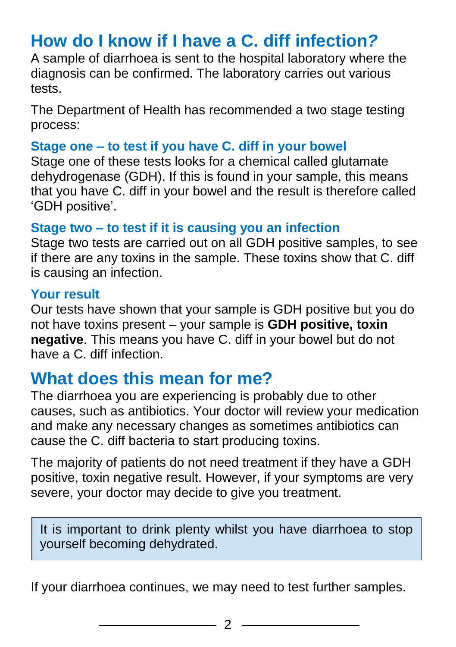# **How do I know if I have a C. diff infection***?*

A sample of diarrhoea is sent to the hospital laboratory where the diagnosis can be confirmed. The laboratory carries out various tests.

The Department of Health has recommended a two stage testing process:

#### **Stage one – to test if you have C. diff in your bowel**

Stage one of these tests looks for a chemical called glutamate dehydrogenase (GDH). If this is found in your sample, this means that you have C. diff in your bowel and the result is therefore called 'GDH positive'.

#### **Stage two – to test if it is causing you an infection**

Stage two tests are carried out on all GDH positive samples, to see if there are any toxins in the sample. These toxins show that C. diff is causing an infection.

#### **Your result**

Our tests have shown that your sample is GDH positive but you do not have toxins present – your sample is **GDH positive, toxin negative**. This means you have C. diff in your bowel but do not have a C. diff infection.

#### **What does this mean for me?**

The diarrhoea you are experiencing is probably due to other causes, such as antibiotics. Your doctor will review your medication and make any necessary changes as sometimes antibiotics can cause the C. diff bacteria to start producing toxins.

The majority of patients do not need treatment if they have a GDH positive, toxin negative result. However, if your symptoms are very severe, your doctor may decide to give you treatment.

It is important to drink plenty whilst you have diarrhoea to stop yourself becoming dehydrated.

If your diarrhoea continues, we may need to test further samples.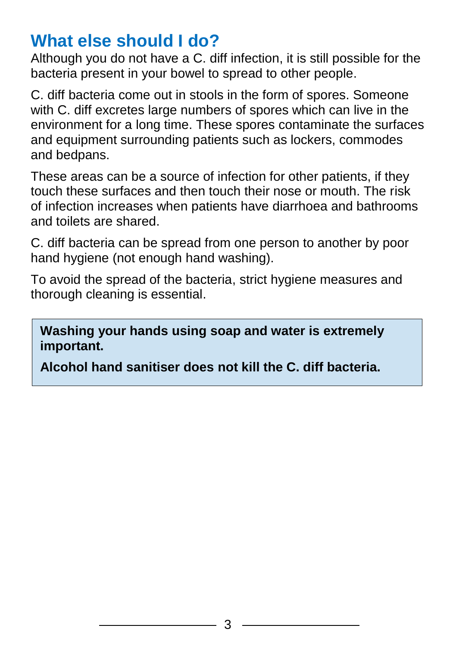# **What else should I do?**

Although you do not have a C. diff infection, it is still possible for the bacteria present in your bowel to spread to other people.

C. diff bacteria come out in stools in the form of spores. Someone with C. diff excretes large numbers of spores which can live in the environment for a long time. These spores contaminate the surfaces and equipment surrounding patients such as lockers, commodes and bedpans.

These areas can be a source of infection for other patients, if they touch these surfaces and then touch their nose or mouth. The risk of infection increases when patients have diarrhoea and bathrooms and toilets are shared.

C. diff bacteria can be spread from one person to another by poor hand hygiene (not enough hand washing).

To avoid the spread of the bacteria, strict hygiene measures and thorough cleaning is essential.

**Washing your hands using soap and water is extremely important.** 

**Alcohol hand sanitiser does not kill the C. diff bacteria.**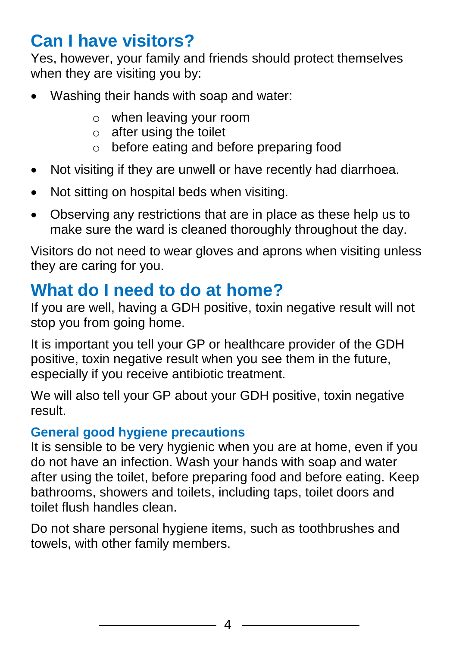# **Can I have visitors?**

Yes, however, your family and friends should protect themselves when they are visiting you by:

- Washing their hands with soap and water:
	- o when leaving your room
	- $\circ$  after using the toilet
	- o before eating and before preparing food
- Not visiting if they are unwell or have recently had diarrhoea.
- Not sitting on hospital beds when visiting.
- Observing any restrictions that are in place as these help us to make sure the ward is cleaned thoroughly throughout the day.

Visitors do not need to wear gloves and aprons when visiting unless they are caring for you.

# **What do I need to do at home?**

If you are well, having a GDH positive, toxin negative result will not stop you from going home.

It is important you tell your GP or healthcare provider of the GDH positive, toxin negative result when you see them in the future, especially if you receive antibiotic treatment.

We will also tell your GP about your GDH positive, toxin negative result.

#### **General good hygiene precautions**

It is sensible to be very hygienic when you are at home, even if you do not have an infection. Wash your hands with soap and water after using the toilet, before preparing food and before eating. Keep bathrooms, showers and toilets, including taps, toilet doors and toilet flush handles clean.

Do not share personal hygiene items, such as toothbrushes and towels, with other family members.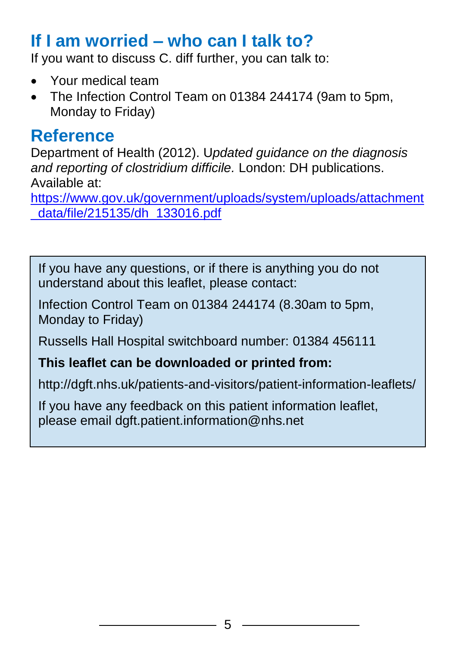## **If I am worried – who can I talk to?**

If you want to discuss C. diff further, you can talk to:

- Your medical team
- The Infection Control Team on 01384 244174 (9am to 5pm, Monday to Friday)

#### **Reference**

Department of Health (2012). U*pdated guidance on the diagnosis and reporting of clostridium difficile.* London: DH publications. Available at:

[https://www.gov.uk/government/uploads/system/uploads/attachment](https://www.gov.uk/government/uploads/system/uploads/attachment_data/file/215135/dh_133016.pdf) [\\_data/file/215135/dh\\_133016.pdf](https://www.gov.uk/government/uploads/system/uploads/attachment_data/file/215135/dh_133016.pdf)

If you have any questions, or if there is anything you do not understand about this leaflet, please contact:

Infection Control Team on 01384 244174 (8.30am to 5pm, Monday to Friday)

Russells Hall Hospital switchboard number: 01384 456111

#### **This leaflet can be downloaded or printed from:**

http://dgft.nhs.uk/patients-and-visitors/patient-information-leaflets/

If you have any feedback on this patient information leaflet, please email dgft.patient.information@nhs.net